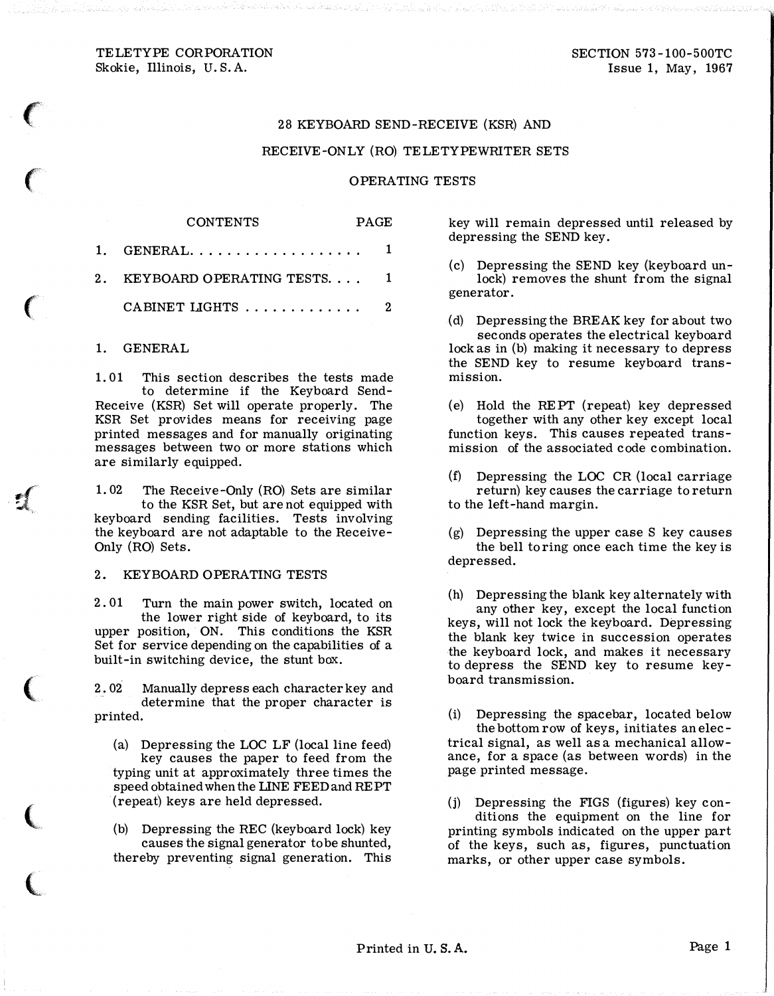# 28 KEYBOARD SEND-RECEIVE (KSR) AND

# RECEIVE-ONLY (RO) TELETYPEWRITER SETS

#### OPERATING TESTS

PAGE

| 1. GENERAL $1$                           |  |
|------------------------------------------|--|
| 2.   KEYBOARD OPERATING TESTS.         1 |  |
| CABINET LIGHTS  2                        |  |
|                                          |  |

**CONTENTS** 

#### 1. GENERAL

 $\epsilon$ 

 $\big($ 

 $\sqrt$  $\mathcal{A}_i$ .

(

 $\big($ 

 $\overline{\mathbb{C}}$ 

1. 01 This section describes the tests made to determine if the Keyboard Send-Receive (KSR) Set will operate properly. The KSR Set provides means for receiving page printed messages and for manually originating messages between two or more stations which are similarly equipped.

1. 02 The Receive-Only (RO) Sets are similar to the KSR Set, but are not equipped with keyboard sending facilities. Tests involving the keyboard are not adaptable to the Receive-Only (RO) Sets.

### 2. KEYBOARD OPERATING TESTS

2. 01 Turn the main power switch, located on the lower right side of keyboard, to its upper position, ON. This conditions the KSR Set for service depending on the capabilities of a built-in switching device, the stunt box.

2. 02 Manually depress each character key and determine that the proper character is printed.

- (a) Depressing the LOC LF (local line feed) key causes the paper to feed from the typing unit at approximately three times the speed obtained when the LINE FEED and REPT (repeat) keys are held depressed.
- (b) Depressing the REC (keyboard lock) key causes the signal generator to be shunted, thereby preventing signal generation. This

key will remain depressed until released by depressing the SEND key.

(c) Depressing the SEND key (keyboard unlock) removes the shunt from the signal generator.

(d) Depressing the BREAK key for about two seconds operates the electrical keyboard lock as in (b) making it necessary to depress the SEND key to resume keyboard transmission.

(e) Hold the REPT (repeat) key depressed together with any other key except local function keys. This causes repeated transmission of the associated code combination.

- (f) Depressing the LOC CR (local carriage return) key causes the carriage to return to the left-hand margin.
- (g) Depressing the upper case S key causes the bell to ring once each time the key is depressed.

(h) Depressing the blank key alternately with any other key, except the local function keys, will not lock the keyboard. Depressing the blank key twice in succession operates the keyboard lock, and makes it necessary to depress the SEND key to resume keyboard transmission.

(i) Depressing the spacebar, located below the bottom row of keys, initiates an electrical signal, as well as a mechanical allowance, for a space (as between words) in the page printed message.

(j) Depressing the FIGS (figures) key conditions the equipment on the line for printing symbols indicated on the upper part of the keys, such as, figures, punctuation marks, or other upper case symbols.